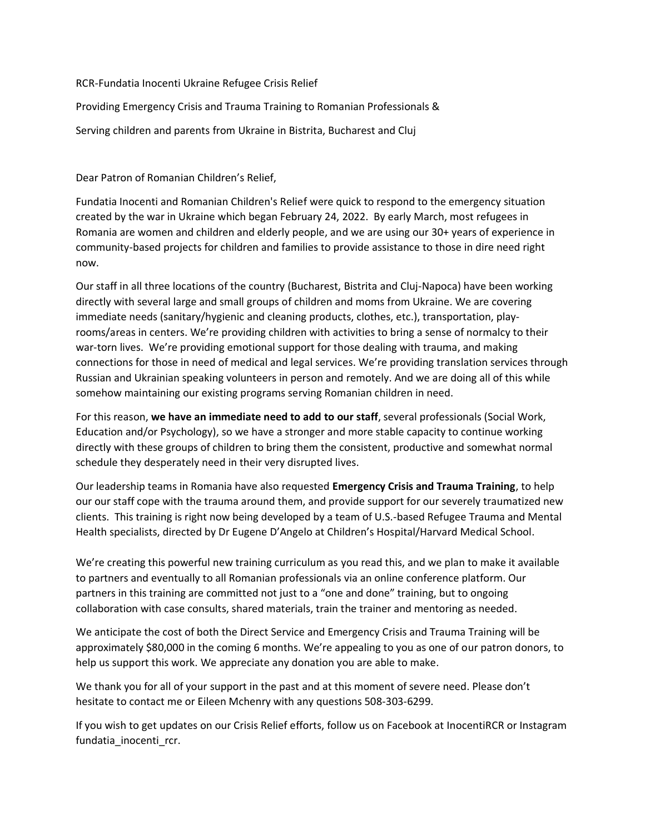RCR-Fundatia Inocenti Ukraine Refugee Crisis Relief

Providing Emergency Crisis and Trauma Training to Romanian Professionals &

Serving children and parents from Ukraine in Bistrita, Bucharest and Cluj

Dear Patron of Romanian Children's Relief,

Fundatia Inocenti and Romanian Children's Relief were quick to respond to the emergency situation created by the war in Ukraine which began February 24, 2022. By early March, most refugees in Romania are women and children and elderly people, and we are using our 30+ years of experience in community-based projects for children and families to provide assistance to those in dire need right now.

Our staff in all three locations of the country (Bucharest, Bistrita and Cluj-Napoca) have been working directly with several large and small groups of children and moms from Ukraine. We are covering immediate needs (sanitary/hygienic and cleaning products, clothes, etc.), transportation, playrooms/areas in centers. We're providing children with activities to bring a sense of normalcy to their war-torn lives. We're providing emotional support for those dealing with trauma, and making connections for those in need of medical and legal services. We're providing translation services through Russian and Ukrainian speaking volunteers in person and remotely. And we are doing all of this while somehow maintaining our existing programs serving Romanian children in need.

For this reason, **we have an immediate need to add to our staff**, several professionals (Social Work, Education and/or Psychology), so we have a stronger and more stable capacity to continue working directly with these groups of children to bring them the consistent, productive and somewhat normal schedule they desperately need in their very disrupted lives.

Our leadership teams in Romania have also requested **Emergency Crisis and Trauma Training**, to help our our staff cope with the trauma around them, and provide support for our severely traumatized new clients. This training is right now being developed by a team of U.S.-based Refugee Trauma and Mental Health specialists, directed by Dr Eugene D'Angelo at Children's Hospital/Harvard Medical School.

We're creating this powerful new training curriculum as you read this, and we plan to make it available to partners and eventually to all Romanian professionals via an online conference platform. Our partners in this training are committed not just to a "one and done" training, but to ongoing collaboration with case consults, shared materials, train the trainer and mentoring as needed.

We anticipate the cost of both the Direct Service and Emergency Crisis and Trauma Training will be approximately \$80,000 in the coming 6 months. We're appealing to you as one of our patron donors, to help us support this work. We appreciate any donation you are able to make.

We thank you for all of your support in the past and at this moment of severe need. Please don't hesitate to contact me or Eileen Mchenry with any questions 508-303-6299.

If you wish to get updates on our Crisis Relief efforts, follow us on Facebook at InocentiRCR or Instagram fundatia\_inocenti\_rcr.